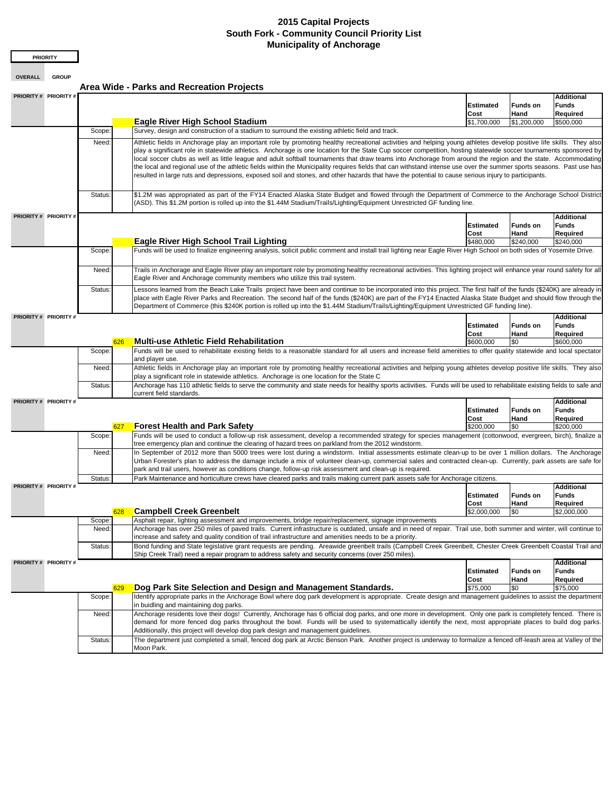## **2015 Capital Projects South Fork - Community Council Priority List Municipality of Anchorage**

**PRIORITY**

**OVERALL GROUP**

**Area Wide - Parks and Recreation Projects** 

| PRIORITY # PRIORITY # |                                                                                                                                                                                                                                                                                                                                                                                                                                                                                                                                                                                                                                                                                                                                                                                                                                                    |                                                                                                                                                                                                                                                                                                                                                                                                                                                                                      |                          |                         | Additional                             |  |  |  |
|-----------------------|----------------------------------------------------------------------------------------------------------------------------------------------------------------------------------------------------------------------------------------------------------------------------------------------------------------------------------------------------------------------------------------------------------------------------------------------------------------------------------------------------------------------------------------------------------------------------------------------------------------------------------------------------------------------------------------------------------------------------------------------------------------------------------------------------------------------------------------------------|--------------------------------------------------------------------------------------------------------------------------------------------------------------------------------------------------------------------------------------------------------------------------------------------------------------------------------------------------------------------------------------------------------------------------------------------------------------------------------------|--------------------------|-------------------------|----------------------------------------|--|--|--|
|                       |                                                                                                                                                                                                                                                                                                                                                                                                                                                                                                                                                                                                                                                                                                                                                                                                                                                    |                                                                                                                                                                                                                                                                                                                                                                                                                                                                                      | <b>Estimated</b>         | <b>Funds on</b>         | Funds                                  |  |  |  |
|                       |                                                                                                                                                                                                                                                                                                                                                                                                                                                                                                                                                                                                                                                                                                                                                                                                                                                    |                                                                                                                                                                                                                                                                                                                                                                                                                                                                                      | Cost                     | Hand                    | Required                               |  |  |  |
|                       |                                                                                                                                                                                                                                                                                                                                                                                                                                                                                                                                                                                                                                                                                                                                                                                                                                                    | <b>Eagle River High School Stadium</b>                                                                                                                                                                                                                                                                                                                                                                                                                                               | \$1,700,000              | \$1,200,000             | \$500,000                              |  |  |  |
|                       | Scope:                                                                                                                                                                                                                                                                                                                                                                                                                                                                                                                                                                                                                                                                                                                                                                                                                                             | Survey, design and construction of a stadium to surround the existing athletic field and track.                                                                                                                                                                                                                                                                                                                                                                                      |                          |                         |                                        |  |  |  |
|                       | Athletic fields in Anchorage play an important role by promoting healthy recreational activities and helping young athletes develop positive life skills. They also<br>Need:<br>play a significant role in statewide athletics. Anchorage is one location for the State Cup soccer competition, hosting statewide soccer tournaments sponsored by<br>local soccer clubs as well as little league and adult softball tournaments that draw teams into Anchorage from around the region and the state. Accommodating<br>the local and regional use of the athletic fields within the Municipality requires fields that can withstand intense use over the summer sports seasons. Past use has<br>resulted in large ruts and depressions, exposed soil and stones, and other hazards that have the potential to cause serious injury to participants. |                                                                                                                                                                                                                                                                                                                                                                                                                                                                                      |                          |                         |                                        |  |  |  |
|                       | Status:                                                                                                                                                                                                                                                                                                                                                                                                                                                                                                                                                                                                                                                                                                                                                                                                                                            | \$1.2M was appropriated as part of the FY14 Enacted Alaska State Budget and flowed through the Department of Commerce to the Anchorage School District<br>(ASD). This \$1.2M portion is rolled up into the \$1.44M Stadium/Trails/Lighting/Equipment Unrestricted GF funding line.                                                                                                                                                                                                   |                          |                         |                                        |  |  |  |
| PRIORITY # PRIORITY # |                                                                                                                                                                                                                                                                                                                                                                                                                                                                                                                                                                                                                                                                                                                                                                                                                                                    |                                                                                                                                                                                                                                                                                                                                                                                                                                                                                      |                          |                         |                                        |  |  |  |
|                       |                                                                                                                                                                                                                                                                                                                                                                                                                                                                                                                                                                                                                                                                                                                                                                                                                                                    |                                                                                                                                                                                                                                                                                                                                                                                                                                                                                      | <b>Estimated</b>         | <b>Funds on</b>         | <b>Additional</b><br>Funds             |  |  |  |
|                       |                                                                                                                                                                                                                                                                                                                                                                                                                                                                                                                                                                                                                                                                                                                                                                                                                                                    |                                                                                                                                                                                                                                                                                                                                                                                                                                                                                      | Cost                     | Hand                    | Required                               |  |  |  |
|                       |                                                                                                                                                                                                                                                                                                                                                                                                                                                                                                                                                                                                                                                                                                                                                                                                                                                    | <b>Eagle River High School Trail Lighting</b>                                                                                                                                                                                                                                                                                                                                                                                                                                        | \$480,000                | \$240,000               | \$240,000                              |  |  |  |
|                       | Scope:                                                                                                                                                                                                                                                                                                                                                                                                                                                                                                                                                                                                                                                                                                                                                                                                                                             | Funds will be used to finalize engineering analysis, solicit public comment and install trail lighting near Eagle River High School on both sides of Yosemite Drive.                                                                                                                                                                                                                                                                                                                 |                          |                         |                                        |  |  |  |
|                       |                                                                                                                                                                                                                                                                                                                                                                                                                                                                                                                                                                                                                                                                                                                                                                                                                                                    |                                                                                                                                                                                                                                                                                                                                                                                                                                                                                      |                          |                         |                                        |  |  |  |
|                       | Need:                                                                                                                                                                                                                                                                                                                                                                                                                                                                                                                                                                                                                                                                                                                                                                                                                                              | Trails in Anchorage and Eagle River play an important role by promoting healthy recreational activities. This lighting project will enhance year round safety for all<br>Eagle River and Anchorage community members who utilize this trail system.                                                                                                                                                                                                                                  |                          |                         |                                        |  |  |  |
|                       | Status:                                                                                                                                                                                                                                                                                                                                                                                                                                                                                                                                                                                                                                                                                                                                                                                                                                            | Lessons learned from the Beach Lake Trails project have been and continue to be incorporated into this project. The first half of the funds (\$240K) are already in<br>place with Eagle River Parks and Recreation. The second half of the funds (\$240K) are part of the FY14 Enacted Alaska State Budget and should flow through the<br>Department of Commerce (this \$240K portion is rolled up into the \$1.44M Stadium/Trails/Lighting/Equipment Unrestricted GF funding line). |                          |                         |                                        |  |  |  |
| PRIORITY # PRIORITY # |                                                                                                                                                                                                                                                                                                                                                                                                                                                                                                                                                                                                                                                                                                                                                                                                                                                    |                                                                                                                                                                                                                                                                                                                                                                                                                                                                                      |                          |                         | Additional                             |  |  |  |
|                       |                                                                                                                                                                                                                                                                                                                                                                                                                                                                                                                                                                                                                                                                                                                                                                                                                                                    |                                                                                                                                                                                                                                                                                                                                                                                                                                                                                      | <b>Estimated</b>         | <b>Funds on</b>         | Funds                                  |  |  |  |
|                       |                                                                                                                                                                                                                                                                                                                                                                                                                                                                                                                                                                                                                                                                                                                                                                                                                                                    |                                                                                                                                                                                                                                                                                                                                                                                                                                                                                      | Cost                     | Hand                    | Required                               |  |  |  |
|                       |                                                                                                                                                                                                                                                                                                                                                                                                                                                                                                                                                                                                                                                                                                                                                                                                                                                    | <b>Multi-use Athletic Field Rehabilitation</b><br>626                                                                                                                                                                                                                                                                                                                                                                                                                                | \$600,000                | \$0                     | \$600,000                              |  |  |  |
|                       | Scope:                                                                                                                                                                                                                                                                                                                                                                                                                                                                                                                                                                                                                                                                                                                                                                                                                                             | Funds will be used to rehabilitate existing fields to a reasonable standard for all users and increase field amenities to offer quality statewide and local spectator<br>and player use.                                                                                                                                                                                                                                                                                             |                          |                         |                                        |  |  |  |
|                       | Need:                                                                                                                                                                                                                                                                                                                                                                                                                                                                                                                                                                                                                                                                                                                                                                                                                                              | Athletic fields in Anchorage play an important role by promoting healthy recreational activities and helping young athletes develop positive life skills. They also<br>play a significant role in statewide athletics. Anchorage is one location for the State C                                                                                                                                                                                                                     |                          |                         |                                        |  |  |  |
|                       | Status:                                                                                                                                                                                                                                                                                                                                                                                                                                                                                                                                                                                                                                                                                                                                                                                                                                            | Anchorage has 110 athletic fields to serve the community and state needs for healthy sports activities. Funds will be used to rehabilitate existing fields to safe and<br>current field standards.                                                                                                                                                                                                                                                                                   |                          |                         |                                        |  |  |  |
| PRIORITY # PRIORITY # |                                                                                                                                                                                                                                                                                                                                                                                                                                                                                                                                                                                                                                                                                                                                                                                                                                                    |                                                                                                                                                                                                                                                                                                                                                                                                                                                                                      | <b>Estimated</b><br>Cost | <b>Funds on</b><br>Hand | <b>Additional</b><br>Funds<br>Required |  |  |  |
|                       |                                                                                                                                                                                                                                                                                                                                                                                                                                                                                                                                                                                                                                                                                                                                                                                                                                                    | <b>Forest Health and Park Safety</b><br>627                                                                                                                                                                                                                                                                                                                                                                                                                                          | \$200,000                | \$0                     | \$200,000                              |  |  |  |
|                       | Scope:                                                                                                                                                                                                                                                                                                                                                                                                                                                                                                                                                                                                                                                                                                                                                                                                                                             | Funds will be used to conduct a follow-up risk assessment, develop a recommended strategy for species management (cottonwood, evergreen, birch), finalize a<br>tree emergency plan and continue the clearing of hazard trees on parkland from the 2012 windstorm.                                                                                                                                                                                                                    |                          |                         |                                        |  |  |  |
|                       | Need:                                                                                                                                                                                                                                                                                                                                                                                                                                                                                                                                                                                                                                                                                                                                                                                                                                              | In September of 2012 more than 5000 trees were lost during a windstorm. Initial assessments estimate clean-up to be over 1 million dollars. The Anchorage<br>Urban Forester's plan to address the damage include a mix of volunteer clean-up, commercial sales and contracted clean-up. Currently, park assets are safe for<br>park and trail users, however as conditions change, follow-up risk assessment and clean-up is required.                                               |                          |                         |                                        |  |  |  |
|                       | Status:                                                                                                                                                                                                                                                                                                                                                                                                                                                                                                                                                                                                                                                                                                                                                                                                                                            | Park Maintenance and horticulture crews have cleared parks and trails making current park assets safe for Anchorage citizens.                                                                                                                                                                                                                                                                                                                                                        |                          |                         |                                        |  |  |  |
| PRIORITY # PRIORITY # |                                                                                                                                                                                                                                                                                                                                                                                                                                                                                                                                                                                                                                                                                                                                                                                                                                                    |                                                                                                                                                                                                                                                                                                                                                                                                                                                                                      |                          |                         | <b>Additional</b>                      |  |  |  |
|                       |                                                                                                                                                                                                                                                                                                                                                                                                                                                                                                                                                                                                                                                                                                                                                                                                                                                    |                                                                                                                                                                                                                                                                                                                                                                                                                                                                                      | <b>Estimated</b>         | <b>Funds on</b>         | <b>Funds</b>                           |  |  |  |
|                       |                                                                                                                                                                                                                                                                                                                                                                                                                                                                                                                                                                                                                                                                                                                                                                                                                                                    |                                                                                                                                                                                                                                                                                                                                                                                                                                                                                      | Cost                     | Hand                    | Required                               |  |  |  |
|                       |                                                                                                                                                                                                                                                                                                                                                                                                                                                                                                                                                                                                                                                                                                                                                                                                                                                    | <b>Campbell Creek Greenbelt</b><br>628                                                                                                                                                                                                                                                                                                                                                                                                                                               | \$2,000,000              | \$0                     | \$2,000,000                            |  |  |  |
|                       | Scope:                                                                                                                                                                                                                                                                                                                                                                                                                                                                                                                                                                                                                                                                                                                                                                                                                                             | Asphalt repair, lighting assessment and improvements, bridge repair/replacement, signage improvements                                                                                                                                                                                                                                                                                                                                                                                |                          |                         |                                        |  |  |  |
|                       | Need:                                                                                                                                                                                                                                                                                                                                                                                                                                                                                                                                                                                                                                                                                                                                                                                                                                              | Anchorage has over 250 miles of paved trails. Current infrastructure is outdated, unsafe and in need of repair. Trail use, both summer and winter, will continue to<br>increase and safety and quality condition of trail infrastructure and amenities needs to be a priority.                                                                                                                                                                                                       |                          |                         |                                        |  |  |  |
|                       | Status:                                                                                                                                                                                                                                                                                                                                                                                                                                                                                                                                                                                                                                                                                                                                                                                                                                            |                                                                                                                                                                                                                                                                                                                                                                                                                                                                                      |                          |                         |                                        |  |  |  |
|                       |                                                                                                                                                                                                                                                                                                                                                                                                                                                                                                                                                                                                                                                                                                                                                                                                                                                    | Bond funding and State legislative grant requests are pending. Areawide greenbelt trails (Campbell Creek Greenbelt, Chester Creek Greenbelt Coastal Trail and<br>Ship Creek Trail) need a repair program to address safety and security concerns (over 250 miles).                                                                                                                                                                                                                   |                          |                         |                                        |  |  |  |
| PRIORITY # PRIORITY # |                                                                                                                                                                                                                                                                                                                                                                                                                                                                                                                                                                                                                                                                                                                                                                                                                                                    |                                                                                                                                                                                                                                                                                                                                                                                                                                                                                      |                          |                         | <b>Additional</b>                      |  |  |  |
|                       |                                                                                                                                                                                                                                                                                                                                                                                                                                                                                                                                                                                                                                                                                                                                                                                                                                                    |                                                                                                                                                                                                                                                                                                                                                                                                                                                                                      | <b>Estimated</b>         | <b>Funds on</b>         | <b>Funds</b>                           |  |  |  |
|                       |                                                                                                                                                                                                                                                                                                                                                                                                                                                                                                                                                                                                                                                                                                                                                                                                                                                    |                                                                                                                                                                                                                                                                                                                                                                                                                                                                                      | Cost                     | Hand                    | Required                               |  |  |  |
|                       |                                                                                                                                                                                                                                                                                                                                                                                                                                                                                                                                                                                                                                                                                                                                                                                                                                                    | Dog Park Site Selection and Design and Management Standards.<br>629<br>Identify appropriate parks in the Anchorage Bowl where dog park development is appropriate. Create design and management guidelines to assist the department                                                                                                                                                                                                                                                  | \$75,000                 | \$0                     | \$75,000                               |  |  |  |
|                       | Scope:                                                                                                                                                                                                                                                                                                                                                                                                                                                                                                                                                                                                                                                                                                                                                                                                                                             | in buidling and maintaining dog parks.                                                                                                                                                                                                                                                                                                                                                                                                                                               |                          |                         |                                        |  |  |  |
|                       | Need:                                                                                                                                                                                                                                                                                                                                                                                                                                                                                                                                                                                                                                                                                                                                                                                                                                              | Anchorage residents love their dogs! Currently, Anchorage has 6 official dog parks, and one more in development. Only one park is completely fenced. There is<br>demand for more fenced dog parks throughout the bowl. Funds will be used to systemattically identify the next, most appropriate places to build dog parks.<br>Additionally, this project will develop dog park design and management guidelines.                                                                    |                          |                         |                                        |  |  |  |
|                       | Status:                                                                                                                                                                                                                                                                                                                                                                                                                                                                                                                                                                                                                                                                                                                                                                                                                                            | The department just completed a small, fenced dog park at Arctic Benson Park. Another project is underway to formalize a fenced off-leash area at Valley of the<br>Moon Park.                                                                                                                                                                                                                                                                                                        |                          |                         |                                        |  |  |  |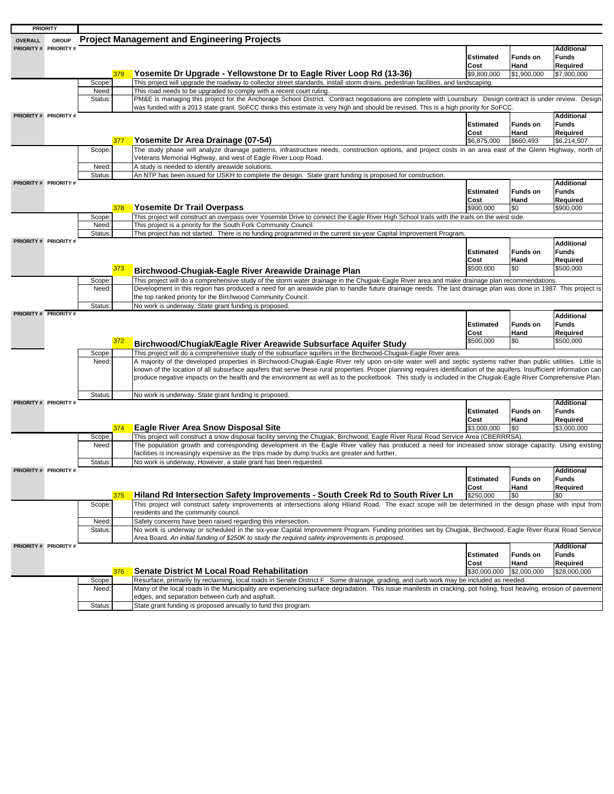| <b>PRIORITY</b>                |                  |     |                                                                                                                                                                                                                                                                                                              |                          |                         |                                               |
|--------------------------------|------------------|-----|--------------------------------------------------------------------------------------------------------------------------------------------------------------------------------------------------------------------------------------------------------------------------------------------------------------|--------------------------|-------------------------|-----------------------------------------------|
| <b>GROUP</b><br><b>OVERALL</b> |                  |     | <b>Project Management and Engineering Projects</b>                                                                                                                                                                                                                                                           |                          |                         |                                               |
| PRIORITY # PRIORITY #          |                  |     |                                                                                                                                                                                                                                                                                                              | <b>Estimated</b><br>Cost | <b>Funds on</b><br>Hand | <b>Additional</b><br><b>Funds</b><br>Required |
|                                |                  | 379 | Yosemite Dr Upgrade - Yellowstone Dr to Eagle River Loop Rd (13-36)                                                                                                                                                                                                                                          | \$9,800,000              | \$1,900,000             | \$7,900,000                                   |
|                                | Scope:           |     | This project will upgrade the roadway to collector street standards, install storm drains, pedestrian facilities, and landscaping.                                                                                                                                                                           |                          |                         |                                               |
|                                | Need:            |     | This road needs to be upgraded to comply with a recent court ruling.                                                                                                                                                                                                                                         |                          |                         |                                               |
|                                | Status:          |     | PM&E is managing this project for the Anchorage School District. Contract negotiations are complete with Lounsbury. Design contract is under review. Design                                                                                                                                                  |                          |                         |                                               |
|                                |                  |     | was funded with a 2013 state grant. SoFCC thinks this estimate is very high and should be revised. This is a high priority for SoFCC.                                                                                                                                                                        |                          |                         |                                               |
| PRIORITY # PRIORITY #          |                  |     |                                                                                                                                                                                                                                                                                                              |                          |                         | <b>Additional</b>                             |
|                                |                  |     |                                                                                                                                                                                                                                                                                                              | <b>Estimated</b>         | <b>Funds on</b>         | <b>Funds</b>                                  |
|                                |                  |     |                                                                                                                                                                                                                                                                                                              | Cost                     | Hand                    | Required                                      |
|                                |                  | 377 | Yosemite Dr Area Drainage (07-54)                                                                                                                                                                                                                                                                            | \$6,875,000              | \$660,493               | \$6,214,507                                   |
|                                | Scope:           |     | The study phase will analyze drainage patterns, infrastructure needs, construction options, and project costs in an area east of the Glenn Highway, north of                                                                                                                                                 |                          |                         |                                               |
|                                |                  |     | Veterans Memorial Highway, and west of Eagle River Loop Road.                                                                                                                                                                                                                                                |                          |                         |                                               |
|                                | Need:            |     | A study is needed to identify areawide solutions.                                                                                                                                                                                                                                                            |                          |                         |                                               |
|                                | Status:          |     | An NTP has been issued for USKH to complete the design. State grant funding is proposed for construction.                                                                                                                                                                                                    |                          |                         |                                               |
| PRIORITY # PRIORITY #          |                  |     |                                                                                                                                                                                                                                                                                                              |                          |                         | <b>Additional</b>                             |
|                                |                  |     |                                                                                                                                                                                                                                                                                                              | <b>Estimated</b>         | <b>Funds on</b>         | <b>Funds</b>                                  |
|                                |                  |     |                                                                                                                                                                                                                                                                                                              | Cost                     | Hand                    | Required                                      |
|                                |                  | 378 | Yosemite Dr Trail Overpass                                                                                                                                                                                                                                                                                   | \$900,000                | \$0                     | \$900,000                                     |
|                                | Scope:           |     | This project will construct an overpass over Yosemite Drive to connect the Eagle River High School trails with the trails on the west side.                                                                                                                                                                  |                          |                         |                                               |
|                                | Need:<br>Status: |     | This project is a priority for the South Fork Community Council.<br>This project has not started. There is no funding programmed in the current six-year Capital Improvement Program.                                                                                                                        |                          |                         |                                               |
| PRIORITY # PRIORITY #          |                  |     |                                                                                                                                                                                                                                                                                                              |                          |                         |                                               |
|                                |                  |     |                                                                                                                                                                                                                                                                                                              |                          |                         | <b>Additional</b>                             |
|                                |                  |     |                                                                                                                                                                                                                                                                                                              | <b>Estimated</b>         | <b>Funds on</b>         | <b>Funds</b>                                  |
|                                |                  |     |                                                                                                                                                                                                                                                                                                              | Cost<br>\$500.000        | Hand                    | Required                                      |
|                                |                  | 373 | Birchwood-Chugiak-Eagle River Areawide Drainage Plan                                                                                                                                                                                                                                                         |                          | \$0                     | \$500,000                                     |
|                                | Scope:           |     | This project will do a comprehensive study of the storm water drainage in the Chugiak-Eagle River area and make drainage plan recommendations.                                                                                                                                                               |                          |                         |                                               |
|                                | Need:            |     | Development in this region has produced a need for an areawide plan to handle future drainage needs. The last drainage plan was done in 1987. This project is                                                                                                                                                |                          |                         |                                               |
|                                |                  |     | the top ranked priority for the Birchwood Community Council.                                                                                                                                                                                                                                                 |                          |                         |                                               |
|                                | Status:          |     | No work is underway. State grant funding is proposed.                                                                                                                                                                                                                                                        |                          |                         |                                               |
| <b>PRIORITY # PRIORITY #</b>   |                  |     |                                                                                                                                                                                                                                                                                                              |                          |                         | <b>Additional</b>                             |
|                                |                  |     |                                                                                                                                                                                                                                                                                                              | <b>Estimated</b>         | <b>Funds on</b>         | <b>Funds</b>                                  |
|                                |                  |     |                                                                                                                                                                                                                                                                                                              | Cost                     | Hand                    | Required                                      |
|                                |                  | 372 | Birchwood/Chugiak/Eagle River Areawide Subsurface Aquifer Study                                                                                                                                                                                                                                              | \$500,000                | \$0                     | \$500,000                                     |
|                                | Scope:           |     | This project will do a comprehensive study of the subsurface aquifers in the Birchwood-Chugiak-Eagle River area.                                                                                                                                                                                             |                          |                         |                                               |
|                                | Need:            |     | A majority of the developed properties in Birchwood-Chugiak-Eagle River rely upon on-site water well and septic systems rather than public utilities. Little is                                                                                                                                              |                          |                         |                                               |
|                                |                  |     | known of the location of all subsurface aquifers that serve these rural properties. Proper planning requires identification of the aquifers. Insufficient information can                                                                                                                                    |                          |                         |                                               |
|                                |                  |     | produce negative impacts on the health and the environment as well as to the pocketbook. This study is included in the Chugiak-Eagle River Comprehensive Plan.                                                                                                                                               |                          |                         |                                               |
|                                |                  |     |                                                                                                                                                                                                                                                                                                              |                          |                         |                                               |
|                                | Status:          |     | No work is underway. State grant funding is proposed.                                                                                                                                                                                                                                                        |                          |                         |                                               |
| PRIORITY # PRIORITY #          |                  |     |                                                                                                                                                                                                                                                                                                              |                          |                         | <b>Additional</b>                             |
|                                |                  |     |                                                                                                                                                                                                                                                                                                              | <b>Estimated</b>         | <b>Funds on</b>         | <b>Funds</b>                                  |
|                                |                  |     |                                                                                                                                                                                                                                                                                                              | Cost                     | Hand                    | Required                                      |
|                                |                  | 374 | <b>Eagle River Area Snow Disposal Site</b>                                                                                                                                                                                                                                                                   | \$3,000,000              | \$0                     | \$3,000,000                                   |
|                                | Scope:           |     | This project will construct a snow disposal facility serving the Chugiak, Birchwood, Eagle River Rural Road Service Area (CBERRRSA).                                                                                                                                                                         |                          |                         |                                               |
|                                | Need:            |     | The population growth and corresponding development in the Eagle River valley has produced a need for increased snow storage capacity. Using existing                                                                                                                                                        |                          |                         |                                               |
|                                |                  |     | facilities is increasingly expensive as the trips made by dump trucks are greater and further.                                                                                                                                                                                                               |                          |                         |                                               |
|                                | <b>Status</b>    |     | No work is underway, However, a state grant has been requested.                                                                                                                                                                                                                                              |                          |                         |                                               |
| PRIORITY # PRIORITY #          |                  |     |                                                                                                                                                                                                                                                                                                              |                          |                         | <b>Additional</b>                             |
|                                |                  |     |                                                                                                                                                                                                                                                                                                              | Estimated                | <b>Funds on</b>         | Funds                                         |
|                                |                  | 375 | Hiland Rd Intersection Safety Improvements - South Creek Rd to South River Ln                                                                                                                                                                                                                                | Cost<br>\$250,000        | Hand<br>\$0             | Required<br>\$0                               |
|                                |                  |     |                                                                                                                                                                                                                                                                                                              |                          |                         |                                               |
|                                | Scope:           |     | This project will construct safety improvements at intersections along Hiland Road. The exact scope will be determined in the design phase with input from                                                                                                                                                   |                          |                         |                                               |
|                                |                  |     | residents and the community council.                                                                                                                                                                                                                                                                         |                          |                         |                                               |
|                                | Need:            |     | Safety concerns have been raised regarding this intersection.<br>No work is underway or scheduled in the six-year Capital Improvement Program. Funding priorities set by Chugiak, Birchwood, Eagle River Rural Road Service                                                                                  |                          |                         |                                               |
|                                | Status:          |     |                                                                                                                                                                                                                                                                                                              |                          |                         |                                               |
| PRIORITY # PRIORITY #          |                  |     | Area Board. An initial funding of \$250K to study the required safety improvements is proposed.                                                                                                                                                                                                              |                          |                         | Additional                                    |
|                                |                  |     |                                                                                                                                                                                                                                                                                                              | <b>Estimated</b>         | <b>Funds on</b>         | <b>Funds</b>                                  |
|                                |                  |     |                                                                                                                                                                                                                                                                                                              | Cost                     | Hand                    | Required                                      |
|                                |                  |     |                                                                                                                                                                                                                                                                                                              |                          |                         |                                               |
|                                |                  |     |                                                                                                                                                                                                                                                                                                              |                          |                         |                                               |
|                                |                  | 376 | <b>Senate District M Local Road Rehabilitation</b>                                                                                                                                                                                                                                                           | \$30,000,000             | \$2,000,000             | \$28,000,000                                  |
|                                | Scope:<br>Need:  |     | Resurface, primarily by reclaiming, local roads in Senate District F. Some drainage, grading, and curb work may be included as needed.<br>Many of the local roads in the Municipality are experiencing surface degradation. This issue manifests in cracking, pot holing, frost heaving, erosion of pavement |                          |                         |                                               |

Status: State grant funding is proposed annually to fund this program. edges, and separation between curb and asphalt.